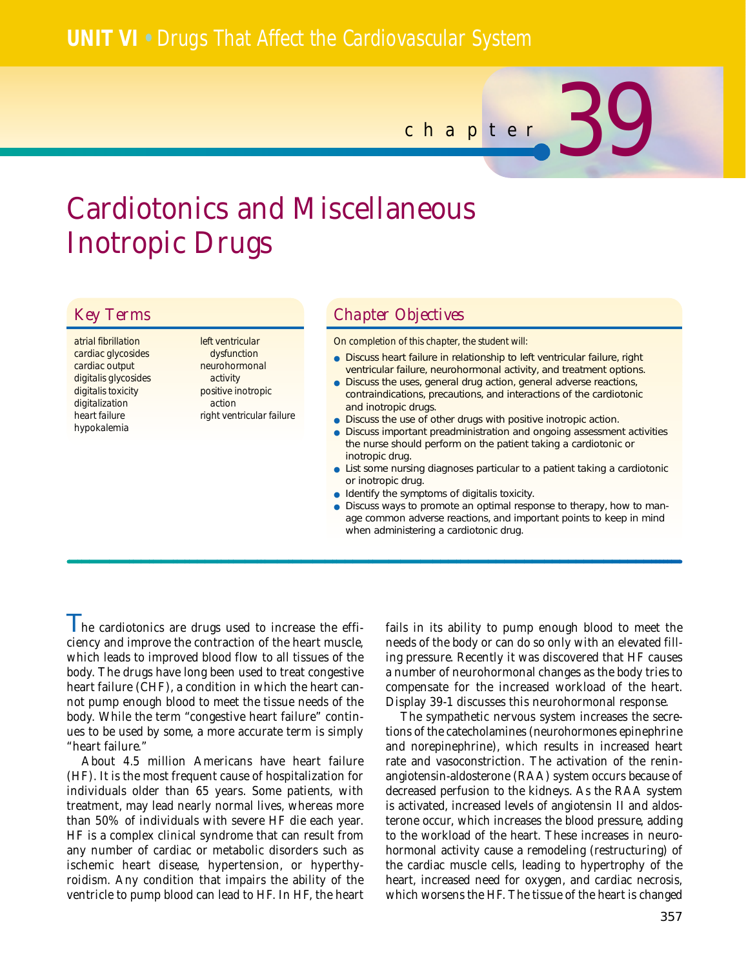*chapter* 

# Cardiotonics and Miscellaneous Inotropic Drugs

*atrial fibrillation cardiac glycosides cardiac output digitalis glycosides digitalis toxicity digitalization heart failure hypokalemia*

*left ventricular dysfunction neurohormonal activity positive inotropic action right ventricular failure*

# *Key Terms Chapter Objectives*

*On completion of this chapter, the student will:*

- Discuss heart failure in relationship to left ventricular failure, right ventricular failure, neurohormonal activity, and treatment options.
- Discuss the uses, general drug action, general adverse reactions, contraindications, precautions, and interactions of the cardiotonic and inotropic drugs.
- Discuss the use of other drugs with positive inotropic action.
- Discuss important preadministration and ongoing assessment activities the nurse should perform on the patient taking a cardiotonic or inotropic drug.
- List some nursing diagnoses particular to a patient taking a cardiotonic or inotropic drug.
- Identify the symptoms of digitalis toxicity.
- Discuss ways to promote an optimal response to therapy, how to manage common adverse reactions, and important points to keep in mind when administering a cardiotonic drug.

 $\parallel$  he cardiotonics are drugs used to increase the efficiency and improve the contraction of the heart muscle, which leads to improved blood flow to all tissues of the body. The drugs have long been used to treat congestive heart failure (CHF), a condition in which the heart cannot pump enough blood to meet the tissue needs of the body. While the term "congestive heart failure" continues to be used by some, a more accurate term is simply "heart failure."

About 4.5 million Americans have heart failure (HF). It is the most frequent cause of hospitalization for individuals older than 65 years. Some patients, with treatment, may lead nearly normal lives, whereas more than 50% of individuals with severe HF die each year. HF is a complex clinical syndrome that can result from any number of cardiac or metabolic disorders such as ischemic heart disease, hypertension, or hyperthyroidism. Any condition that impairs the ability of the ventricle to pump blood can lead to HF. In HF, the heart

fails in its ability to pump enough blood to meet the needs of the body or can do so only with an elevated filling pressure. Recently it was discovered that HF causes a number of neurohormonal changes as the body tries to compensate for the increased workload of the heart. Display 39-1 discusses this neurohormonal response.

The sympathetic nervous system increases the secretions of the catecholamines (neurohormones epinephrine and norepinephrine), which results in increased heart rate and vasoconstriction. The activation of the reninangiotensin-aldosterone (RAA) system occurs because of decreased perfusion to the kidneys. As the RAA system is activated, increased levels of angiotensin II and aldosterone occur, which increases the blood pressure, adding to the workload of the heart. These increases in neurohormonal activity cause a remodeling (restructuring) of the cardiac muscle cells, leading to hypertrophy of the heart, increased need for oxygen, and cardiac necrosis, which worsens the HF. The tissue of the heart is changed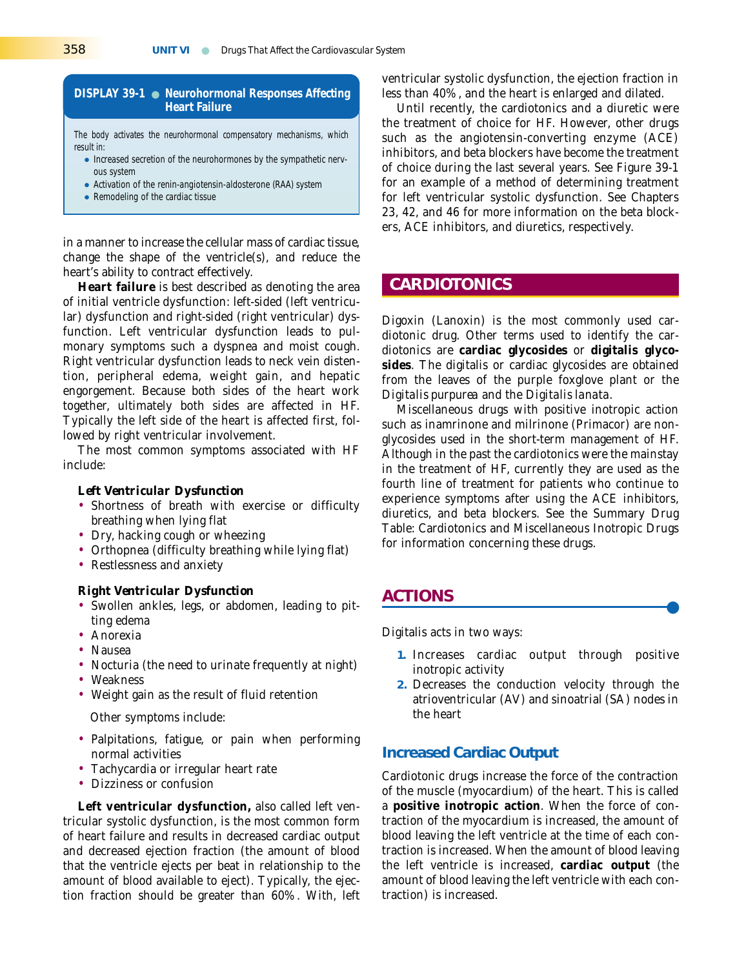#### **DISPLAY 39-1** ● **Neurohormonal Responses Affecting Heart Failure**

The body activates the neurohormonal compensatory mechanisms, which result in:

- Increased secretion of the neurohormones by the sympathetic nervous system
- Activation of the renin-angiotensin-aldosterone (RAA) system
- Remodeling of the cardiac tissue

in a manner to increase the cellular mass of cardiac tissue, change the shape of the ventricle(s), and reduce the heart's ability to contract effectively.

**Heart failure** is best described as denoting the area of initial ventricle dysfunction: left-sided (left ventricular) dysfunction and right-sided (right ventricular) dysfunction. Left ventricular dysfunction leads to pulmonary symptoms such a dyspnea and moist cough. Right ventricular dysfunction leads to neck vein distention, peripheral edema, weight gain, and hepatic engorgement. Because both sides of the heart work together, ultimately both sides are affected in HF. Typically the left side of the heart is affected first, followed by right ventricular involvement.

The most common symptoms associated with HF include:

#### *Left Ventricular Dysfunction*

- Shortness of breath with exercise or difficulty breathing when lying flat
- Dry, hacking cough or wheezing
- Orthopnea (difficulty breathing while lying flat)
- Restlessness and anxiety

#### *Right Ventricular Dysfunction*

- Swollen ankles, legs, or abdomen, leading to pitting edema
- Anorexia
- Nausea
- Nocturia (the need to urinate frequently at night)
- Weakness
- Weight gain as the result of fluid retention

Other symptoms include:

- Palpitations, fatigue, or pain when performing normal activities
- Tachycardia or irregular heart rate
- Dizziness or confusion

**Left ventricular dysfunction,** also called left ventricular systolic dysfunction, is the most common form of heart failure and results in decreased cardiac output and decreased ejection fraction (the amount of blood that the ventricle ejects per beat in relationship to the amount of blood available to eject). Typically, the ejection fraction should be greater than 60%. With, left

ventricular systolic dysfunction, the ejection fraction in less than 40%, and the heart is enlarged and dilated.

Until recently, the cardiotonics and a diuretic were the treatment of choice for HF. However, other drugs such as the angiotensin-converting enzyme (ACE) inhibitors, and beta blockers have become the treatment of choice during the last several years. See Figure 39-1 for an example of a method of determining treatment for left ventricular systolic dysfunction. See Chapters 23, 42, and 46 for more information on the beta blockers, ACE inhibitors, and diuretics, respectively.

## **CARDIOTONICS**

Digoxin (Lanoxin) is the most commonly used cardiotonic drug. Other terms used to identify the cardiotonics are **cardiac glycosides** or **digitalis glycosides**. The digitalis or cardiac glycosides are obtained from the leaves of the purple foxglove plant or the *Digitalis purpurea* and the *Digitalis lanata*.

Miscellaneous drugs with positive inotropic action such as inamrinone and milrinone (Primacor) are nonglycosides used in the short-term management of HF. Although in the past the cardiotonics were the mainstay in the treatment of HF, currently they are used as the fourth line of treatment for patients who continue to experience symptoms after using the ACE inhibitors, diuretics, and beta blockers. See the Summary Drug Table: Cardiotonics and Miscellaneous Inotropic Drugs for information concerning these drugs.

# **ACTIONS** ●

Digitalis acts in two ways:

- **1.** Increases cardiac output through positive inotropic activity
- **2.** Decreases the conduction velocity through the atrioventricular (AV) and sinoatrial (SA) nodes in the heart

# **Increased Cardiac Output**

Cardiotonic drugs increase the force of the contraction of the muscle (myocardium) of the heart. This is called a **positive inotropic action**. When the force of contraction of the myocardium is increased, the amount of blood leaving the left ventricle at the time of each contraction is increased. When the amount of blood leaving the left ventricle is increased, **cardiac output** (the amount of blood leaving the left ventricle with each contraction) is increased.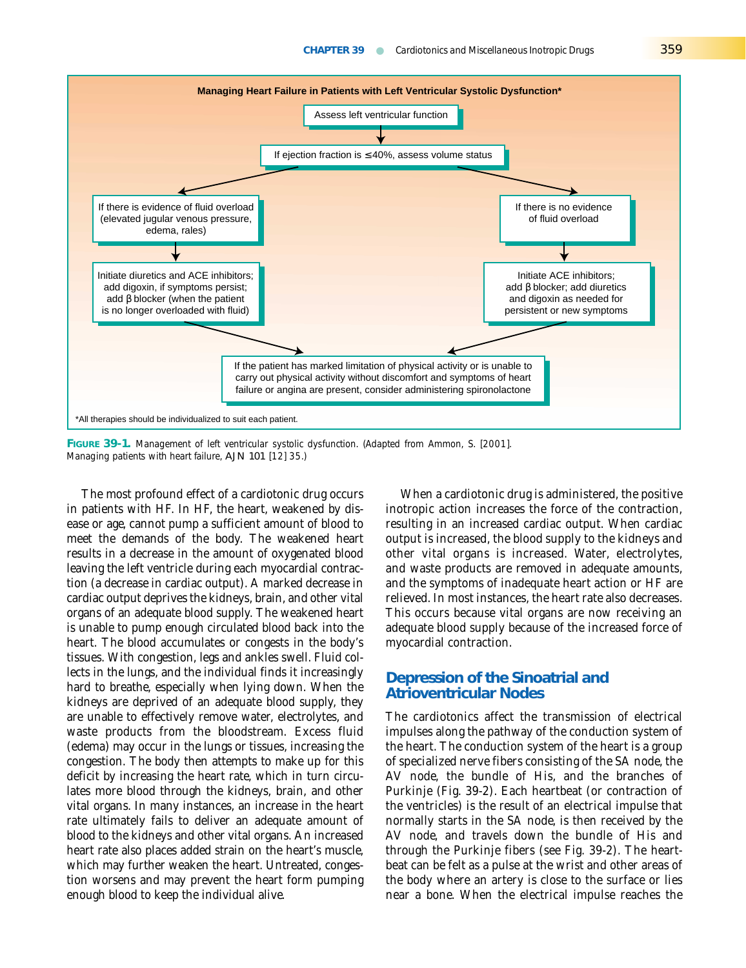

**FIGURE 39-1.** Management of left ventricular systolic dysfunction. (Adapted from Ammon, S. [2001]. Managing patients with heart failure, *AJN 101* [12] 35.)

The most profound effect of a cardiotonic drug occurs in patients with HF. In HF, the heart, weakened by disease or age, cannot pump a sufficient amount of blood to meet the demands of the body. The weakened heart results in a decrease in the amount of oxygenated blood leaving the left ventricle during each myocardial contraction (a decrease in cardiac output). A marked decrease in cardiac output deprives the kidneys, brain, and other vital organs of an adequate blood supply. The weakened heart is unable to pump enough circulated blood back into the heart. The blood accumulates or congests in the body's tissues. With congestion, legs and ankles swell. Fluid collects in the lungs, and the individual finds it increasingly hard to breathe, especially when lying down. When the kidneys are deprived of an adequate blood supply, they are unable to effectively remove water, electrolytes, and waste products from the bloodstream. Excess fluid (edema) may occur in the lungs or tissues, increasing the congestion. The body then attempts to make up for this deficit by increasing the heart rate, which in turn circulates more blood through the kidneys, brain, and other vital organs. In many instances, an increase in the heart rate ultimately fails to deliver an adequate amount of blood to the kidneys and other vital organs. An increased heart rate also places added strain on the heart's muscle, which may further weaken the heart. Untreated, congestion worsens and may prevent the heart form pumping enough blood to keep the individual alive.

When a cardiotonic drug is administered, the positive inotropic action increases the force of the contraction, resulting in an increased cardiac output. When cardiac output is increased, the blood supply to the kidneys and other vital organs is increased. Water, electrolytes, and waste products are removed in adequate amounts, and the symptoms of inadequate heart action or HF are relieved. In most instances, the heart rate also decreases. This occurs because vital organs are now receiving an adequate blood supply because of the increased force of myocardial contraction.

# **Depression of the Sinoatrial and Atrioventricular Nodes**

The cardiotonics affect the transmission of electrical impulses along the pathway of the conduction system of the heart. The conduction system of the heart is a group of specialized nerve fibers consisting of the SA node, the AV node, the bundle of His, and the branches of Purkinje (Fig. 39-2). Each heartbeat (or contraction of the ventricles) is the result of an electrical impulse that normally starts in the SA node, is then received by the AV node, and travels down the bundle of His and through the Purkinje fibers (see Fig. 39-2). The heartbeat can be felt as a pulse at the wrist and other areas of the body where an artery is close to the surface or lies near a bone. When the electrical impulse reaches the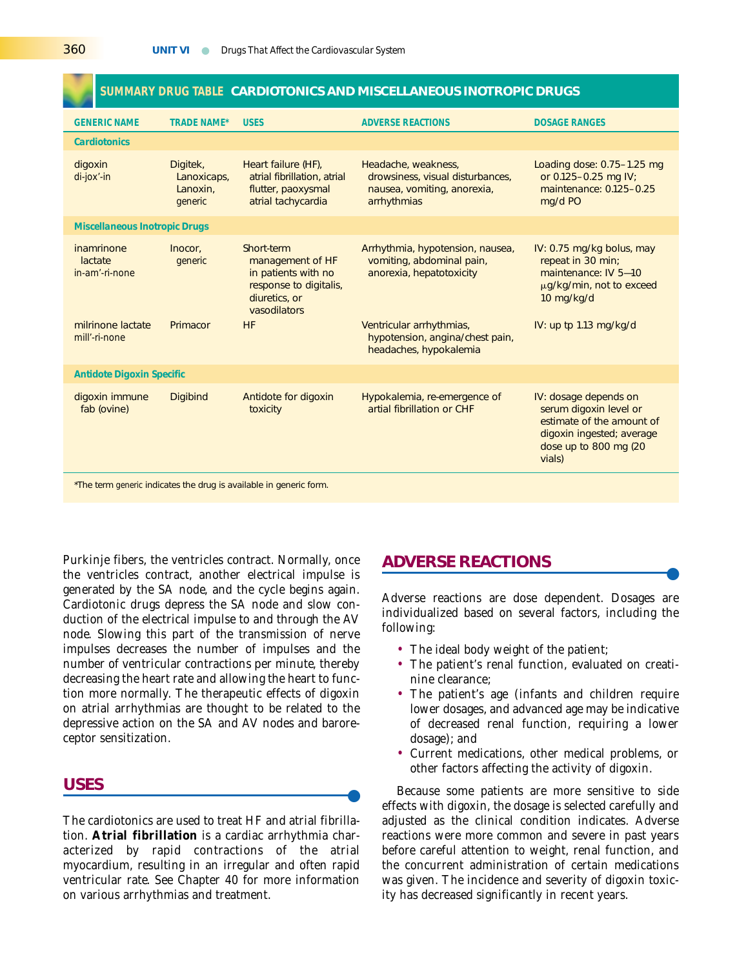| <b>GENERIC NAME</b>                                                           | <b>TRADE NAME*</b>                             | <b>USES</b>                                                                                                                   | <b>ADVERSE REACTIONS</b>                                                                                                                                 | <b>DOSAGE RANGES</b>                                                                                                                         |
|-------------------------------------------------------------------------------|------------------------------------------------|-------------------------------------------------------------------------------------------------------------------------------|----------------------------------------------------------------------------------------------------------------------------------------------------------|----------------------------------------------------------------------------------------------------------------------------------------------|
| <b>Cardiotonics</b>                                                           |                                                |                                                                                                                               |                                                                                                                                                          |                                                                                                                                              |
| digoxin<br>di-jox'-in                                                         | Digitek,<br>Lanoxicaps,<br>Lanoxin,<br>generic | Heart failure (HF),<br>atrial fibrillation, atrial<br>flutter, paoxysmal<br>atrial tachycardia                                | Headache, weakness,<br>drowsiness, visual disturbances,<br>nausea, vomiting, anorexia,<br>arrhythmias                                                    | Loading dose: $0.75-1.25$ mg<br>or 0.125-0.25 mg IV;<br>maintenance: 0.125-0.25<br>mg/d PO                                                   |
| <b>Miscellaneous Inotropic Drugs</b>                                          |                                                |                                                                                                                               |                                                                                                                                                          |                                                                                                                                              |
| inamrinone<br>lactate<br>in-am'-ri-none<br>milrinone lactate<br>mill'-ri-none | Inocor,<br>generic<br>Primacor                 | Short-term<br>management of HF<br>in patients with no<br>response to digitalis,<br>diuretics, or<br>vasodilators<br><b>HF</b> | Arrhythmia, hypotension, nausea,<br>vomiting, abdominal pain,<br>anorexia, hepatotoxicity<br>Ventricular arrhythmias,<br>hypotension, angina/chest pain, | IV: 0.75 mg/kg bolus, may<br>repeat in 30 min;<br>maintenance: IV 5-10<br>µg/kg/min, not to exceed<br>10 mg/kg/d<br>IV: up tp 1.13 mg/kg/d   |
|                                                                               |                                                |                                                                                                                               | headaches, hypokalemia                                                                                                                                   |                                                                                                                                              |
| <b>Antidote Digoxin Specific</b>                                              |                                                |                                                                                                                               |                                                                                                                                                          |                                                                                                                                              |
| digoxin immune<br>fab (ovine)                                                 | <b>Digibind</b>                                | Antidote for digoxin<br>toxicity                                                                                              | Hypokalemia, re-emergence of<br>artial fibrillation or CHF                                                                                               | IV: dosage depends on<br>serum digoxin level or<br>estimate of the amount of<br>digoxin ingested; average<br>dose up to 800 mg (20<br>vials) |
| *The term generic indicates the drug is available in generic form.            |                                                |                                                                                                                               |                                                                                                                                                          |                                                                                                                                              |

#### **SUMMARY DRUG TABLE CARDIOTONICS AND MISCELLANEOUS INOTROPIC DRUGS**

Purkinje fibers, the ventricles contract. Normally, once the ventricles contract, another electrical impulse is generated by the SA node, and the cycle begins again. Cardiotonic drugs depress the SA node and slow conduction of the electrical impulse to and through the AV node. Slowing this part of the transmission of nerve impulses decreases the number of impulses and the number of ventricular contractions per minute, thereby decreasing the heart rate and allowing the heart to function more normally. The therapeutic effects of digoxin on atrial arrhythmias are thought to be related to the depressive action on the SA and AV nodes and baroreceptor sensitization.

# **USES** ●

The cardiotonics are used to treat HF and atrial fibrillation. **Atrial fibrillation** is a cardiac arrhythmia characterized by rapid contractions of the atrial myocardium, resulting in an irregular and often rapid ventricular rate. See Chapter 40 for more information on various arrhythmias and treatment.

# **ADVERSE REACTIONS** ●

Adverse reactions are dose dependent. Dosages are individualized based on several factors, including the following:

- The ideal body weight of the patient;
- The patient's renal function, evaluated on creatinine clearance;
- The patient's age (infants and children require lower dosages, and advanced age may be indicative of decreased renal function, requiring a lower dosage); and
- Current medications, other medical problems, or other factors affecting the activity of digoxin.

Because some patients are more sensitive to side effects with digoxin, the dosage is selected carefully and adjusted as the clinical condition indicates. Adverse reactions were more common and severe in past years before careful attention to weight, renal function, and the concurrent administration of certain medications was given. The incidence and severity of digoxin toxicity has decreased significantly in recent years.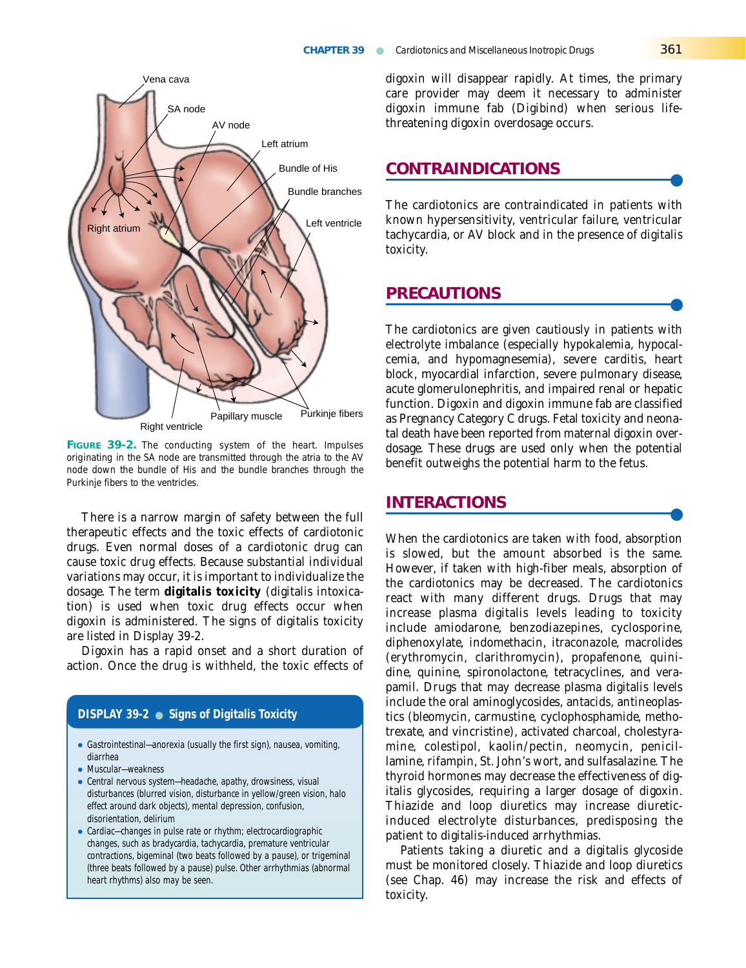

**FIGURE 39-2.** The conducting system of the heart. Impulses originating in the SA node are transmitted through the atria to the AV node down the bundle of His and the bundle branches through the Purkinje fibers to the ventricles.

There is a narrow margin of safety between the full therapeutic effects and the toxic effects of cardiotonic drugs. Even normal doses of a cardiotonic drug can cause toxic drug effects. Because substantial individual variations may occur, it is important to individualize the dosage. The term **digitalis toxicity** (digitalis intoxication) is used when toxic drug effects occur when digoxin is administered. The signs of digitalis toxicity are listed in Display 39-2.

Digoxin has a rapid onset and a short duration of action. Once the drug is withheld, the toxic effects of

### **DISPLAY 39-2** ● **Signs of Digitalis Toxicity**

- Gastrointestinal—anorexia (usually the first sign), nausea, vomiting, diarrhea
- Muscular—weakness
- Central nervous system-headache, apathy, drowsiness, visual disturbances (blurred vision, disturbance in yellow/green vision, halo effect around dark objects), mental depression, confusion, disorientation, delirium
- Cardiac—changes in pulse rate or rhythm; electrocardiographic changes, such as bradycardia, tachycardia, premature ventricular contractions, bigeminal (two beats followed by a pause), or trigeminal (three beats followed by a pause) pulse. Other arrhythmias (abnormal heart rhythms) also may be seen.

digoxin will disappear rapidly. At times, the primary care provider may deem it necessary to administer digoxin immune fab (Digibind) when serious lifethreatening digoxin overdosage occurs.

# **CONTRAINDICATIONS** ●

The cardiotonics are contraindicated in patients with known hypersensitivity, ventricular failure, ventricular tachycardia, or AV block and in the presence of digitalis toxicity.

# **PRECAUTIONS**

The cardiotonics are given cautiously in patients with electrolyte imbalance (especially hypokalemia, hypocalcemia, and hypomagnesemia), severe carditis, heart block, myocardial infarction, severe pulmonary disease, acute glomerulonephritis, and impaired renal or hepatic function. Digoxin and digoxin immune fab are classified as Pregnancy Category C drugs. Fetal toxicity and neonatal death have been reported from maternal digoxin overdosage. These drugs are used only when the potential benefit outweighs the potential harm to the fetus.

# **INTERACTIONS**

When the cardiotonics are taken with food, absorption is slowed, but the amount absorbed is the same. However, if taken with high-fiber meals, absorption of the cardiotonics may be decreased. The cardiotonics react with many different drugs. Drugs that may increase plasma digitalis levels leading to toxicity include amiodarone, benzodiazepines, cyclosporine, diphenoxylate, indomethacin, itraconazole, macrolides (erythromycin, clarithromycin), propafenone, quinidine, quinine, spironolactone, tetracyclines, and verapamil. Drugs that may decrease plasma digitalis levels include the oral aminoglycosides, antacids, antineoplastics (bleomycin, carmustine, cyclophosphamide, methotrexate, and vincristine), activated charcoal, cholestyramine, colestipol, kaolin/pectin, neomycin, penicillamine, rifampin, St. John's wort, and sulfasalazine. The thyroid hormones may decrease the effectiveness of digitalis glycosides, requiring a larger dosage of digoxin. Thiazide and loop diuretics may increase diureticinduced electrolyte disturbances, predisposing the patient to digitalis-induced arrhythmias.

Patients taking a diuretic and a digitalis glycoside must be monitored closely. Thiazide and loop diuretics (see Chap. 46) may increase the risk and effects of toxicity.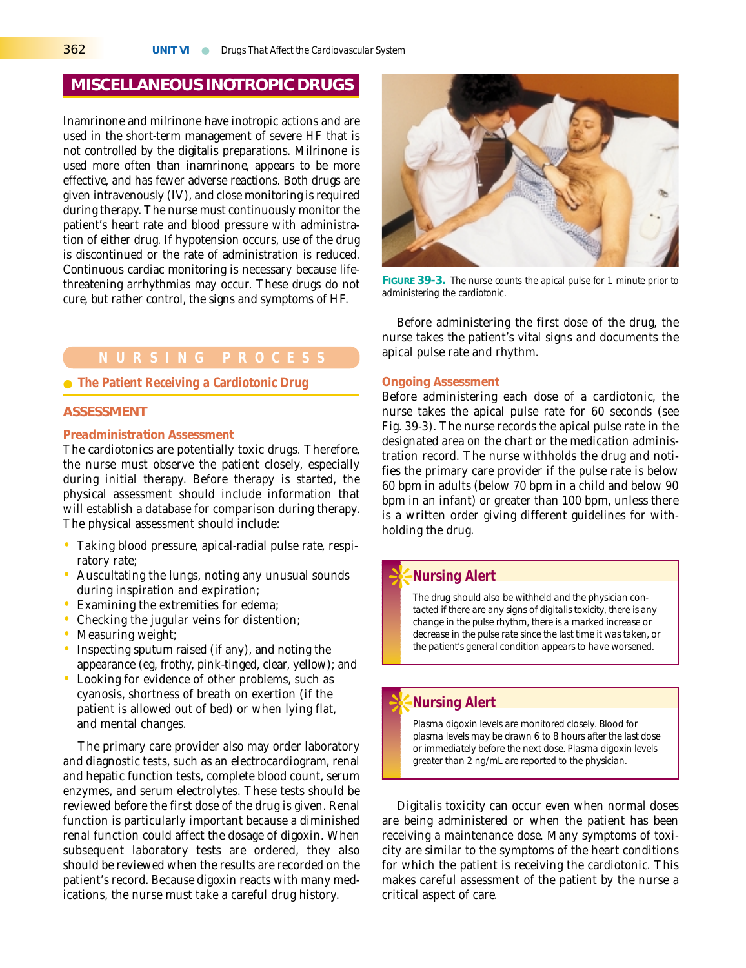# **MISCELLANEOUS INOTROPIC DRUGS**

Inamrinone and milrinone have inotropic actions and are used in the short-term management of severe HF that is not controlled by the digitalis preparations. Milrinone is used more often than inamrinone, appears to be more effective, and has fewer adverse reactions. Both drugs are given intravenously (IV), and close monitoring is required during therapy. The nurse must continuously monitor the patient's heart rate and blood pressure with administration of either drug. If hypotension occurs, use of the drug is discontinued or the rate of administration is reduced. Continuous cardiac monitoring is necessary because lifethreatening arrhythmias may occur. These drugs do not cure, but rather control, the signs and symptoms of HF.

#### ● **The Patient Receiving a Cardiotonic Drug**

#### **ASSESSMENT**

#### *Preadministration Assessment*

The cardiotonics are potentially toxic drugs. Therefore, the nurse must observe the patient closely, especially during initial therapy. Before therapy is started, the physical assessment should include information that will establish a database for comparison during therapy. The physical assessment should include:

- Taking blood pressure, apical-radial pulse rate, respiratory rate;
- Auscultating the lungs, noting any unusual sounds during inspiration and expiration;
- Examining the extremities for edema;
- Checking the jugular veins for distention;
- Measuring weight;
- Inspecting sputum raised (if any), and noting the appearance (eg, frothy, pink-tinged, clear, yellow); and
- Looking for evidence of other problems, such as cyanosis, shortness of breath on exertion (if the patient is allowed out of bed) or when lying flat, and mental changes.

The primary care provider also may order laboratory and diagnostic tests, such as an electrocardiogram, renal and hepatic function tests, complete blood count, serum enzymes, and serum electrolytes. These tests should be reviewed before the first dose of the drug is given. Renal function is particularly important because a diminished renal function could affect the dosage of digoxin. When subsequent laboratory tests are ordered, they also should be reviewed when the results are recorded on the patient's record. Because digoxin reacts with many medications, the nurse must take a careful drug history.



**FIGURE 39-3.** The nurse counts the apical pulse for 1 minute prior to administering the cardiotonic.

Before administering the first dose of the drug, the nurse takes the patient's vital signs and documents the apical pulse rate and rhythm.

#### *Ongoing Assessment*

Before administering each dose of a cardiotonic, the nurse takes the apical pulse rate for 60 seconds (see Fig. 39-3). The nurse records the apical pulse rate in the designated area on the chart or the medication administration record. The nurse withholds the drug and notifies the primary care provider if the pulse rate is below 60 bpm in adults (below 70 bpm in a child and below 90 bpm in an infant) or greater than 100 bpm, unless there is a written order giving different guidelines for withholding the drug.

### ❊**Nursing Alert**

*The drug should also be withheld and the physician contacted if there are any signs of digitalis toxicity, there is any change in the pulse rhythm, there is a marked increase or decrease in the pulse rate since the last time it was taken, or the patient's general condition appears to have worsened.* 

#### ❊**Nursing Alert**

*Plasma digoxin levels are monitored closely. Blood for plasma levels may be drawn 6 to 8 hours after the last dose or immediately before the next dose. Plasma digoxin levels greater than 2 ng/mL are reported to the physician.* 

Digitalis toxicity can occur even when normal doses are being administered or when the patient has been receiving a maintenance dose. Many symptoms of toxicity are similar to the symptoms of the heart conditions for which the patient is receiving the cardiotonic. This makes careful assessment of the patient by the nurse a critical aspect of care.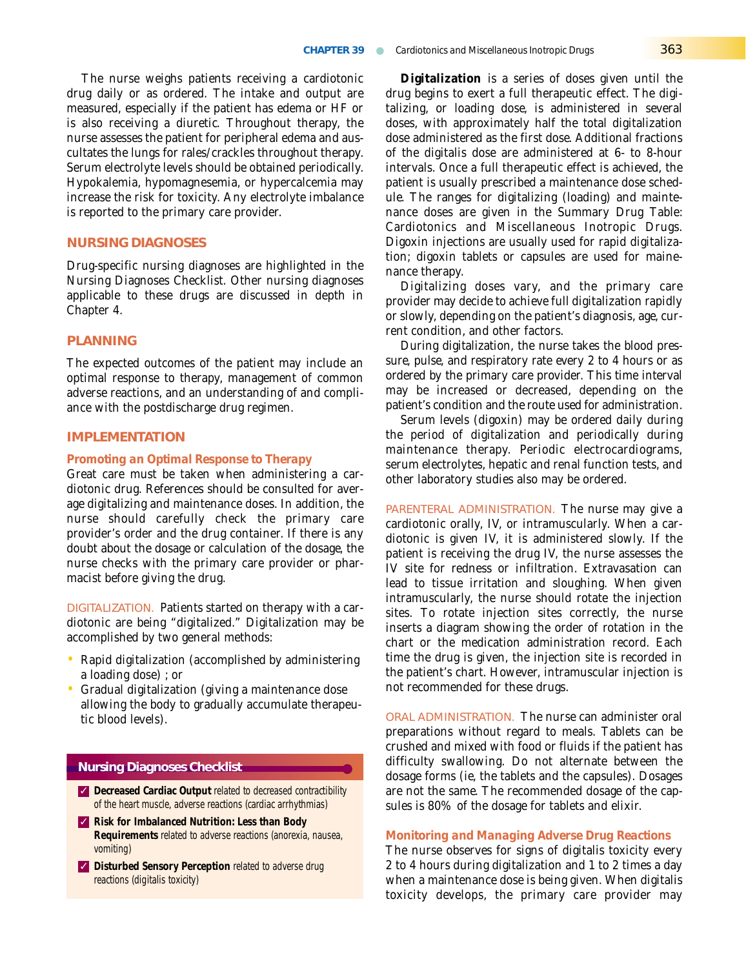The nurse weighs patients receiving a cardiotonic drug daily or as ordered. The intake and output are measured, especially if the patient has edema or HF or is also receiving a diuretic. Throughout therapy, the nurse assesses the patient for peripheral edema and auscultates the lungs for rales/crackles throughout therapy. Serum electrolyte levels should be obtained periodically. Hypokalemia, hypomagnesemia, or hypercalcemia may increase the risk for toxicity. Any electrolyte imbalance is reported to the primary care provider.

#### **NURSING DIAGNOSES**

Drug-specific nursing diagnoses are highlighted in the Nursing Diagnoses Checklist. Other nursing diagnoses applicable to these drugs are discussed in depth in Chapter 4.

#### **PLANNING**

The expected outcomes of the patient may include an optimal response to therapy, management of common adverse reactions, and an understanding of and compliance with the postdischarge drug regimen.

#### **IMPLEMENTATION**

#### *Promoting an Optimal Response to Therapy*

Great care must be taken when administering a cardiotonic drug. References should be consulted for average digitalizing and maintenance doses. In addition, the nurse should carefully check the primary care provider's order and the drug container. If there is any doubt about the dosage or calculation of the dosage, the nurse checks with the primary care provider or pharmacist before giving the drug.

DIGITALIZATION. Patients started on therapy with a cardiotonic are being "digitalized." Digitalization may be accomplished by two general methods:

- Rapid digitalization (accomplished by administering a loading dose) ; or
- Gradual digitalization (giving a maintenance dose allowing the body to gradually accumulate therapeutic blood levels).

#### **Nursing Diagnoses Checklist**

- ✓ **Decreased Cardiac Output** related to decreased contractibility of the heart muscle, adverse reactions (cardiac arrhythmias)
- ✓ **Risk for Imbalanced Nutrition: Less than Body Requirements** related to adverse reactions (anorexia, nausea, vomiting)
- ✓ **Disturbed Sensory Perception** related to adverse drug reactions (digitalis toxicity)

**Digitalization** is a series of doses given until the drug begins to exert a full therapeutic effect. The digitalizing, or loading dose, is administered in several doses, with approximately half the total digitalization dose administered as the first dose. Additional fractions of the digitalis dose are administered at 6- to 8-hour intervals. Once a full therapeutic effect is achieved, the patient is usually prescribed a maintenance dose schedule. The ranges for digitalizing (loading) and maintenance doses are given in the Summary Drug Table: Cardiotonics and Miscellaneous Inotropic Drugs. Digoxin injections are usually used for rapid digitalization; digoxin tablets or capsules are used for mainenance therapy.

Digitalizing doses vary, and the primary care provider may decide to achieve full digitalization rapidly or slowly, depending on the patient's diagnosis, age, current condition, and other factors.

During digitalization, the nurse takes the blood pressure, pulse, and respiratory rate every 2 to 4 hours or as ordered by the primary care provider. This time interval may be increased or decreased, depending on the patient's condition and the route used for administration.

Serum levels (digoxin) may be ordered daily during the period of digitalization and periodically during maintenance therapy. Periodic electrocardiograms, serum electrolytes, hepatic and renal function tests, and other laboratory studies also may be ordered.

PARENTERAL ADMINISTRATION. The nurse may give a cardiotonic orally, IV, or intramuscularly. When a cardiotonic is given IV, it is administered slowly. If the patient is receiving the drug IV, the nurse assesses the IV site for redness or infiltration. Extravasation can lead to tissue irritation and sloughing. When given intramuscularly, the nurse should rotate the injection sites. To rotate injection sites correctly, the nurse inserts a diagram showing the order of rotation in the chart or the medication administration record. Each time the drug is given, the injection site is recorded in the patient's chart. However, intramuscular injection is not recommended for these drugs.

ORAL ADMINISTRATION. The nurse can administer oral preparations without regard to meals. Tablets can be crushed and mixed with food or fluids if the patient has difficulty swallowing. Do not alternate between the dosage forms (ie, the tablets and the capsules). Dosages are not the same. The recommended dosage of the capsules is 80% of the dosage for tablets and elixir.

#### *Monitoring and Managing Adverse Drug Reactions*

The nurse observes for signs of digitalis toxicity every 2 to 4 hours during digitalization and 1 to 2 times a day when a maintenance dose is being given. When digitalis toxicity develops, the primary care provider may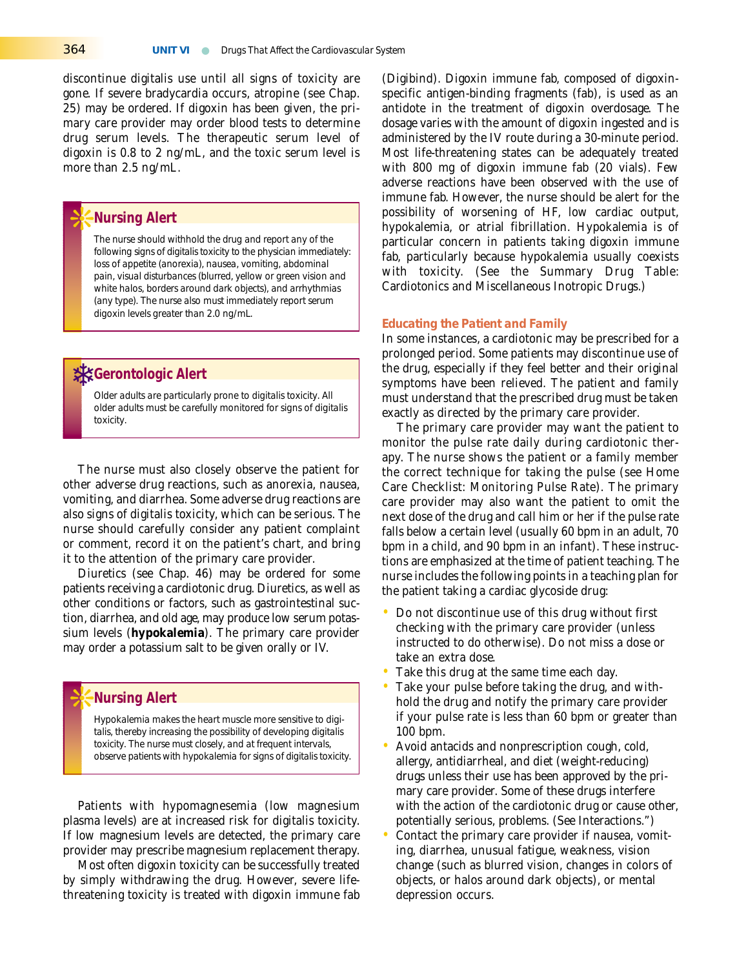discontinue digitalis use until all signs of toxicity are gone. If severe bradycardia occurs, atropine (see Chap. 25) may be ordered. If digoxin has been given, the primary care provider may order blood tests to determine drug serum levels. The therapeutic serum level of digoxin is 0.8 to 2 ng/mL, and the toxic serum level is more than 2.5 ng/mL.

### ❊**Nursing Alert**

*The nurse should withhold the drug and report any of the following signs of digitalis toxicity to the physician immediately: loss of appetite (anorexia), nausea, vomiting, abdominal pain, visual disturbances (blurred, yellow or green vision and white halos, borders around dark objects), and arrhythmias (any type). The nurse also must immediately report serum digoxin levels greater than 2.0 ng/mL.* 

# **Solution** Section of the Section of the Section Alert

*Older adults are particularly prone to digitalis toxicity. All older adults must be carefully monitored for signs of digitalis toxicity.* 

The nurse must also closely observe the patient for other adverse drug reactions, such as anorexia, nausea, vomiting, and diarrhea. Some adverse drug reactions are also signs of digitalis toxicity, which can be serious. The nurse should carefully consider any patient complaint or comment, record it on the patient's chart, and bring it to the attention of the primary care provider.

Diuretics (see Chap. 46) may be ordered for some patients receiving a cardiotonic drug. Diuretics, as well as other conditions or factors, such as gastrointestinal suction, diarrhea, and old age, may produce low serum potassium levels (**hypokalemia**). The primary care provider may order a potassium salt to be given orally or IV.

# ❊**Nursing Alert**

*Hypokalemia makes the heart muscle more sensitive to digitalis, thereby increasing the possibility of developing digitalis toxicity. The nurse must closely, and at frequent intervals, observe patients with hypokalemia for signs of digitalis toxicity.* 

Patients with hypomagnesemia (low magnesium plasma levels) are at increased risk for digitalis toxicity. If low magnesium levels are detected, the primary care provider may prescribe magnesium replacement therapy.

Most often digoxin toxicity can be successfully treated by simply withdrawing the drug. However, severe lifethreatening toxicity is treated with digoxin immune fab

(Digibind). Digoxin immune fab, composed of digoxinspecific antigen-binding fragments (fab), is used as an antidote in the treatment of digoxin overdosage. The dosage varies with the amount of digoxin ingested and is administered by the IV route during a 30-minute period. Most life-threatening states can be adequately treated with 800 mg of digoxin immune fab (20 vials). Few adverse reactions have been observed with the use of immune fab. However, the nurse should be alert for the possibility of worsening of HF, low cardiac output, hypokalemia, or atrial fibrillation. Hypokalemia is of particular concern in patients taking digoxin immune fab, particularly because hypokalemia usually coexists with toxicity. (See the Summary Drug Table: Cardiotonics and Miscellaneous Inotropic Drugs.)

#### *Educating the Patient and Family*

In some instances, a cardiotonic may be prescribed for a prolonged period. Some patients may discontinue use of the drug, especially if they feel better and their original symptoms have been relieved. The patient and family must understand that the prescribed drug must be taken exactly as directed by the primary care provider.

The primary care provider may want the patient to monitor the pulse rate daily during cardiotonic therapy. The nurse shows the patient or a family member the correct technique for taking the pulse (see Home Care Checklist: Monitoring Pulse Rate). The primary care provider may also want the patient to omit the next dose of the drug and call him or her if the pulse rate falls below a certain level (usually 60 bpm in an adult, 70 bpm in a child, and 90 bpm in an infant). These instructions are emphasized at the time of patient teaching. The nurse includes the following points in a teaching plan for the patient taking a cardiac glycoside drug:

- Do not discontinue use of this drug without first checking with the primary care provider (unless instructed to do otherwise). Do not miss a dose or take an extra dose.
- Take this drug at the same time each day.
- Take your pulse before taking the drug, and withhold the drug and notify the primary care provider if your pulse rate is less than 60 bpm or greater than 100 bpm.
- Avoid antacids and nonprescription cough, cold, allergy, antidiarrheal, and diet (weight-reducing) drugs unless their use has been approved by the primary care provider. Some of these drugs interfere with the action of the cardiotonic drug or cause other, potentially serious, problems. (See Interactions.")
- Contact the primary care provider if nausea, vomiting, diarrhea, unusual fatigue, weakness, vision change (such as blurred vision, changes in colors of objects, or halos around dark objects), or mental depression occurs.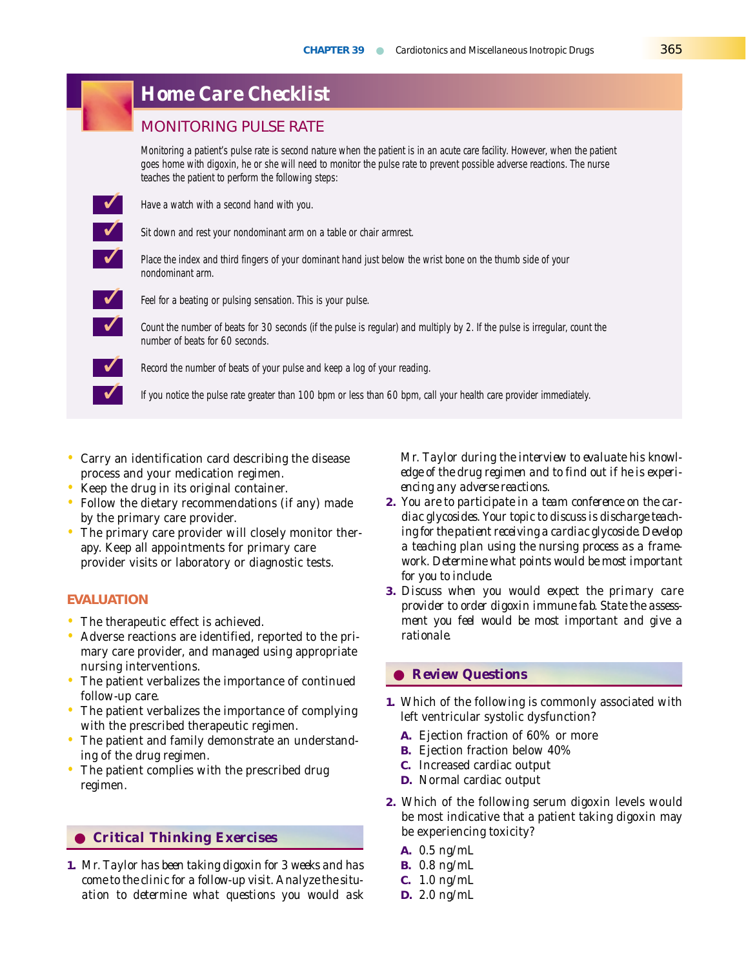# *Home Care Checklist*

# MONITORING PULSE RATE

Monitoring a patient's pulse rate is second nature when the patient is in an acute care facility. However, when the patient goes home with digoxin, he or she will need to monitor the pulse rate to prevent possible adverse reactions. The nurse teaches the patient to perform the following steps:



**TACK Have a watch with a second hand with you.** 

✓ Sit down and rest your nondominant arm on a table or chair armrest.

Place the index and third fingers of your dominant hand just below the wrist bone on the thumb side of your nondominant arm.



Feel for a beating or pulsing sensation. This is your pulse.

Count the number of beats for 30 seconds (if the pulse is regular) and multiply by 2. If the pulse is irregular, count the number of beats for 60 seconds.



Record the number of beats of your pulse and keep a log of your reading.

■ ■ If you notice the pulse rate greater than 100 bpm or less than 60 bpm, call your health care provider immediately.

- Carry an identification card describing the disease process and your medication regimen.
- Keep the drug in its original container.
- Follow the dietary recommendations (if any) made by the primary care provider.
- The primary care provider will closely monitor therapy. Keep all appointments for primary care provider visits or laboratory or diagnostic tests.

# **EVALUATION**

- The therapeutic effect is achieved.
- Adverse reactions are identified, reported to the primary care provider, and managed using appropriate nursing interventions.
- The patient verbalizes the importance of continued follow-up care.
- The patient verbalizes the importance of complying with the prescribed therapeutic regimen.
- The patient and family demonstrate an understanding of the drug regimen.
- The patient complies with the prescribed drug regimen.

# ● *Critical Thinking Exercises*

**1.** *Mr. Taylor has been taking digoxin for 3 weeks and has come to the clinic for a follow-up visit. Analyze the situation to determine what questions you would ask*  *Mr. Taylor during the interview to evaluate his knowledge of the drug regimen and to find out if he is experiencing any adverse reactions.*

- **2.** *You are to participate in a team conference on the cardiac glycosides. Your topic to discuss is discharge teaching for the patient receiving a cardiac glycoside. Develop a teaching plan using the nursing process as a framework. Determine what points would be most important for you to include.*
- **3.** *Discuss when you would expect the primary care provider to order digoxin immune fab. State the assessment you feel would be most important and give a rationale.*

# ● *Review Questions*

- **1.** Which of the following is commonly associated with left ventricular systolic dysfunction?
	- **A.** Ejection fraction of 60% or more
	- **B.** Ejection fraction below 40%
	- **C.** Increased cardiac output
	- **D.** Normal cardiac output
- **2.** Which of the following serum digoxin levels would be most indicative that a patient taking digoxin may be experiencing toxicity?
	- **A.** 0.5 ng/mL
	- **B.** 0.8 ng/mL
	- **C.** 1.0 ng/mL
	- **D.** 2.0 ng/mL